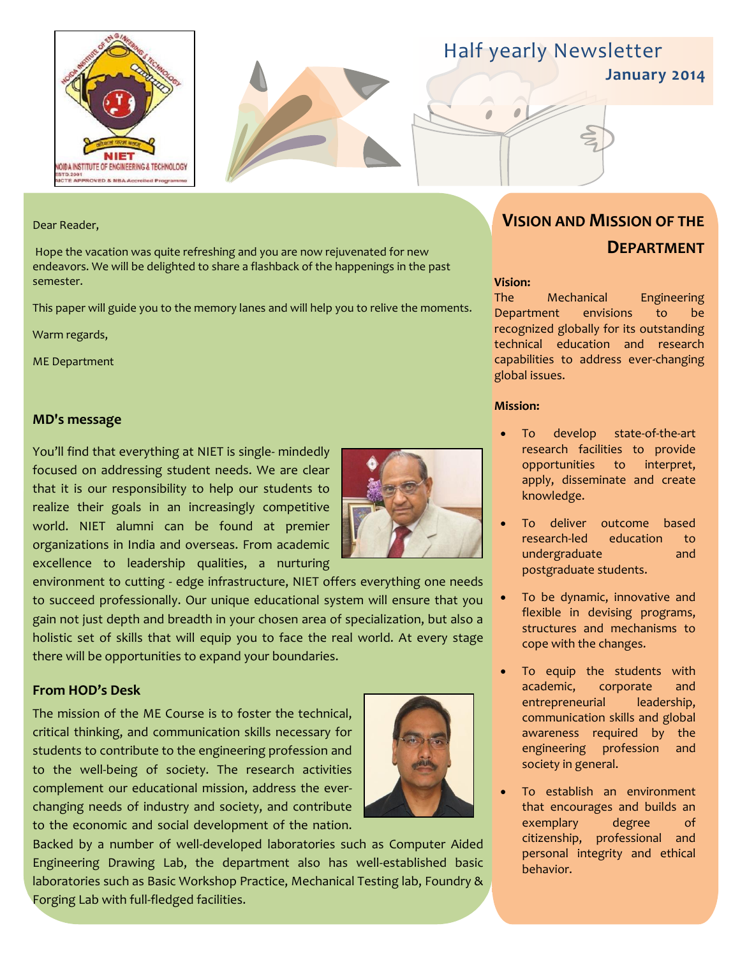



### Half yearly Newsletter

**January 2014**

#### Dear Reader,

Hope the vacation was quite refreshing and you are now rejuvenated for new endeavors. We will be delighted to share a flashback of the happenings in the past semester.

This paper will guide you to the memory lanes and will help you to relive the moments.

Warm regards,

ME Department

#### **MD's message**

You'll find that everything at NIET is single- mindedly focused on addressing student needs. We are clear that it is our responsibility to help our students to realize their goals in an increasingly competitive world. NIET alumni can be found at premier organizations in India and overseas. From academic excellence to leadership qualities, a nurturing



#### **From HOD's Desk**

The mission of the ME Course is to foster the technical, critical thinking, and communication skills necessary for students to contribute to the engineering profession and to the well-being of society. The research activities complement our educational mission, address the everchanging needs of industry and society, and contribute to the economic and social development of the nation.



Backed by a number of well-developed laboratories such as Computer Aided Engineering Drawing Lab, the department also has well-established basic laboratories such as Basic Workshop Practice, Mechanical Testing lab, Foundry & Forging Lab with full-fledged facilities.

#### **VISION AND MISSION OF THE DEPARTMENT**

#### **Vision:**

The Mechanical Engineering Department envisions to be recognized globally for its outstanding technical education and research capabilities to address ever-changing global issues.

#### **Mission:**

- To develop state-of-the-art research facilities to provide opportunities to interpret, apply, disseminate and create knowledge.
- To deliver outcome based research-led education to undergraduate and postgraduate students.
- To be dynamic, innovative and flexible in devising programs, structures and mechanisms to cope with the changes.
- To equip the students with academic, corporate and entrepreneurial leadership, communication skills and global awareness required by the engineering profession and society in general.
- To establish an environment that encourages and builds an exemplary degree of citizenship, professional and personal integrity and ethical behavior.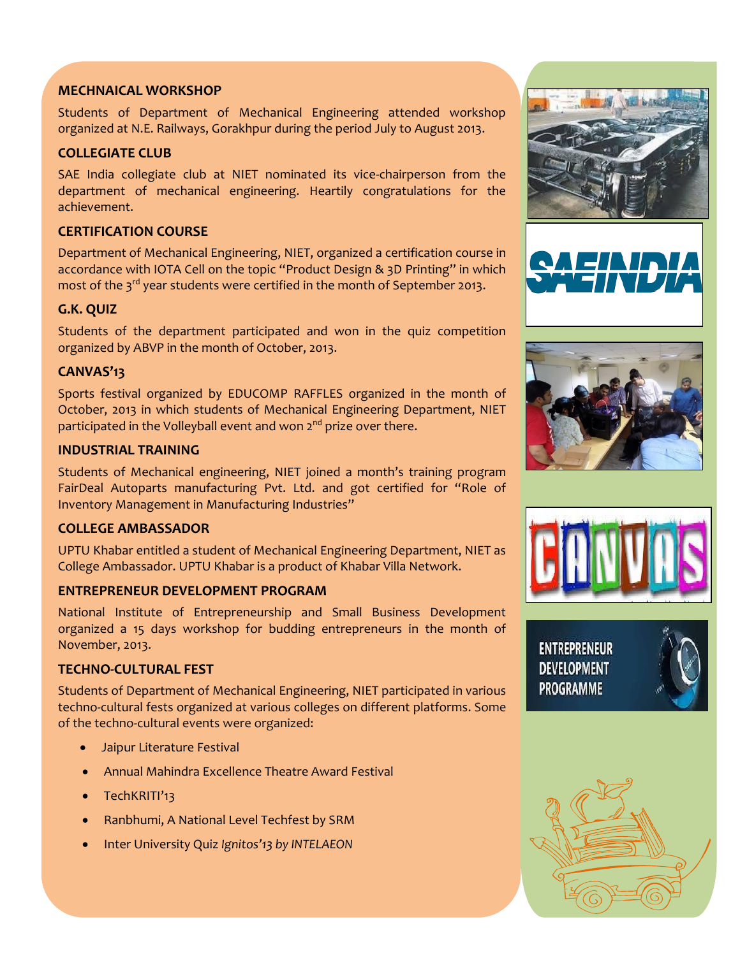#### **MECHNAICAL WORKSHOP**

Students of Department of Mechanical Engineering attended workshop organized at N.E. Railways, Gorakhpur during the period July to August 2013.

#### **COLLEGIATE CLUB**

SAE India collegiate club at NIET nominated its vice-chairperson from the department of mechanical engineering. Heartily congratulations for the achievement.

#### **CERTIFICATION COURSE**

Department of Mechanical Engineering, NIET, organized a certification course in accordance with IOTA Cell on the topic "Product Design & 3D Printing" in which most of the 3<sup>rd</sup> year students were certified in the month of September 2013.

#### **G.K. QUIZ**

Students of the department participated and won in the quiz competition organized by ABVP in the month of October, 2013.

#### **CANVAS'13**

Sports festival organized by EDUCOMP RAFFLES organized in the month of October, 2013 in which students of Mechanical Engineering Department, NIET participated in the Volleyball event and won 2<sup>nd</sup> prize over there.

#### **INDUSTRIAL TRAINING**

Students of Mechanical engineering, NIET joined a month's training program FairDeal Autoparts manufacturing Pvt. Ltd. and got certified for "Role of Inventory Management in Manufacturing Industries"

#### **COLLEGE AMBASSADOR**

UPTU Khabar entitled a student of Mechanical Engineering Department, NIET as College Ambassador. UPTU Khabar is a product of Khabar Villa Network.

#### **ENTREPRENEUR DEVELOPMENT PROGRAM**

National Institute of Entrepreneurship and Small Business Development organized a 15 days workshop for budding entrepreneurs in the month of November, 2013.

#### **TECHNO-CULTURAL FEST**

Students of Department of Mechanical Engineering, NIET participated in various techno-cultural fests organized at various colleges on different platforms. Some of the techno-cultural events were organized:

- Jaipur Literature Festival
- Annual Mahindra Excellence Theatre Award Festival
- TechKRITI'13
- Ranbhumi, A National Level Techfest by SRM
- Inter University Quiz *Ignitos'13 by INTELAEON*









**ENTREPRENEUR DEVELOPMENT PROGRAMME**